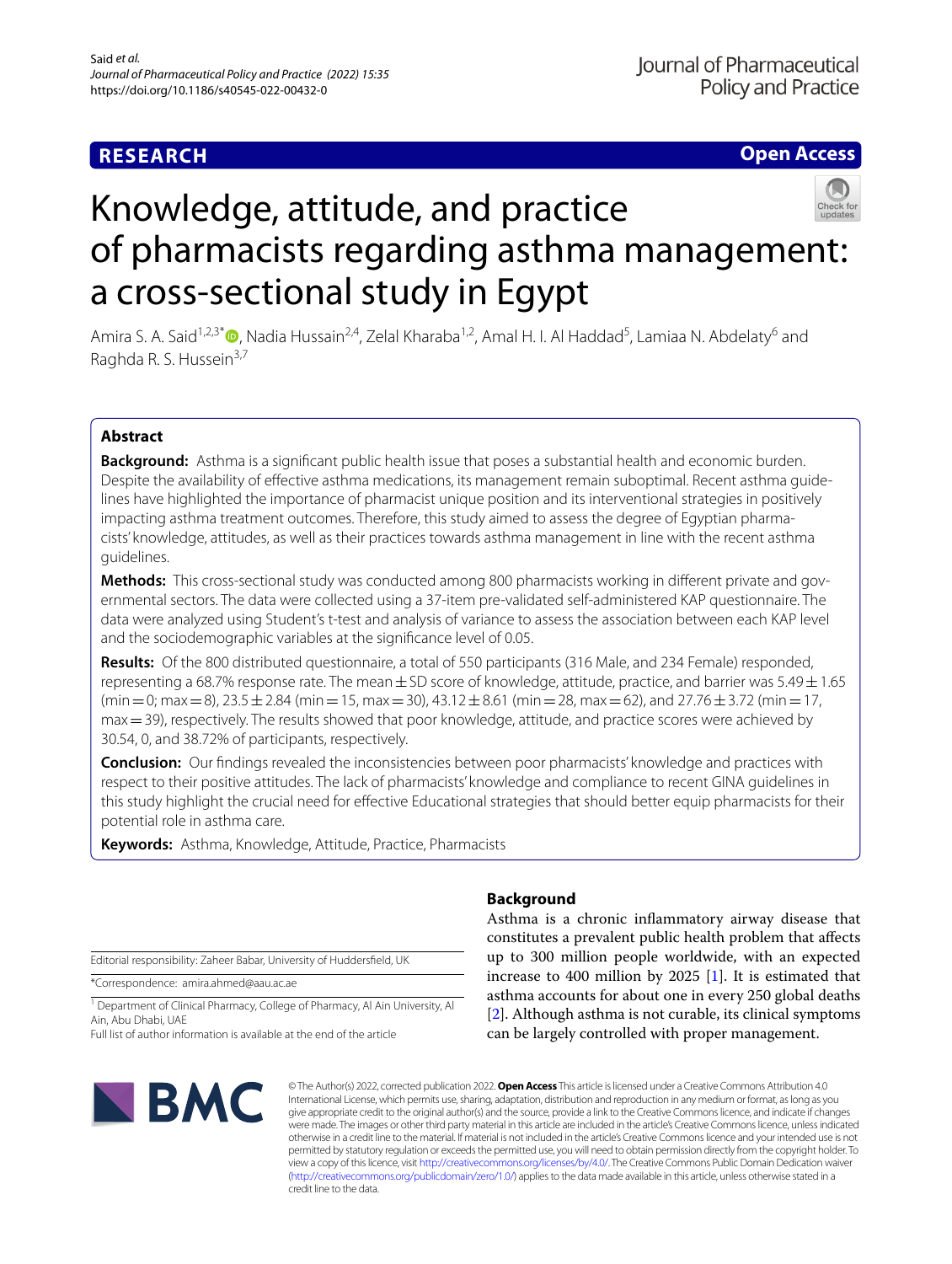## **RESEARCH**

**Open Access**



Amira S. A. Said<sup>1,2,3[\\*](http://orcid.org/0000-0002-6341-3553)</sup>®, Nadia Hussain<sup>2,4</sup>, Zelal Kharaba<sup>1,2</sup>, Amal H. I. Al Haddad<sup>5</sup>, Lamiaa N. Abdelaty<sup>6</sup> and Raghda R. S. Hussein<sup>3,7</sup>

## **Abstract**

**Background:** Asthma is a signifcant public health issue that poses a substantial health and economic burden. Despite the availability of efective asthma medications, its management remain suboptimal. Recent asthma guidelines have highlighted the importance of pharmacist unique position and its interventional strategies in positively impacting asthma treatment outcomes. Therefore, this study aimed to assess the degree of Egyptian pharmacists' knowledge, attitudes, as well as their practices towards asthma management in line with the recent asthma guidelines.

**Methods:** This cross-sectional study was conducted among 800 pharmacists working in diferent private and governmental sectors. The data were collected using a 37-item pre-validated self-administered KAP questionnaire. The data were analyzed using Student's t-test and analysis of variance to assess the association between each KAP level and the sociodemographic variables at the signifcance level of 0.05.

**Results:** Of the 800 distributed questionnaire, a total of 550 participants (316 Male, and 234 Female) responded, representing a 68.7% response rate. The mean  $\pm$  SD score of knowledge, attitude, practice, and barrier was 5.49  $\pm$  1.65  $(\text{min}=0; \text{max}=8)$ , 23.5  $\pm$  2.84 (min = 15, max = 30), 43.12  $\pm$  8.61 (min = 28, max = 62), and 27.76  $\pm$  3.72 (min = 17, max = 39), respectively. The results showed that poor knowledge, attitude, and practice scores were achieved by 30.54, 0, and 38.72% of participants, respectively.

**Conclusion:** Our fndings revealed the inconsistencies between poor pharmacists' knowledge and practices with respect to their positive attitudes. The lack of pharmacists' knowledge and compliance to recent GINA guidelines in this study highlight the crucial need for efective Educational strategies that should better equip pharmacists for their potential role in asthma care.

**Keywords:** Asthma, Knowledge, Attitude, Practice, Pharmacists

Editorial responsibility: Zaheer Babar, University of Huddersfeld, UK

\*Correspondence: amira.ahmed@aau.ac.ae

<sup>1</sup> Department of Clinical Pharmacy, College of Pharmacy, Al Ain University, Al Ain, Abu Dhabi, UAE

Full list of author information is available at the end of the article

# **NBMC**

## **Background**

Asthma is a chronic infammatory airway disease that constitutes a prevalent public health problem that afects up to 300 million people worldwide, with an expected increase to 400 million by 2025 [[1\]](#page-9-0). It is estimated that asthma accounts for about one in every 250 global deaths [[2\]](#page-9-1). Although asthma is not curable, its clinical symptoms can be largely controlled with proper management.

© The Author(s) 2022, corrected publication 2022. **Open Access** This article is licensed under a Creative Commons Attribution 4.0 International License, which permits use, sharing, adaptation, distribution and reproduction in any medium or format, as long as you give appropriate credit to the original author(s) and the source, provide a link to the Creative Commons licence, and indicate if changes were made. The images or other third party material in this article are included in the article's Creative Commons licence, unless indicated otherwise in a credit line to the material. If material is not included in the article's Creative Commons licence and your intended use is not permitted by statutory regulation or exceeds the permitted use, you will need to obtain permission directly from the copyright holder. To view a copy of this licence, visit [http://creativecommons.org/licenses/by/4.0/.](http://creativecommons.org/licenses/by/4.0/) The Creative Commons Public Domain Dedication waiver [\(http://creativecommons.org/publicdomain/zero/1.0/\)](http://creativecommons.org/publicdomain/zero/1.0/) applies to the data made available in this article, unless otherwise stated in a credit line to the data.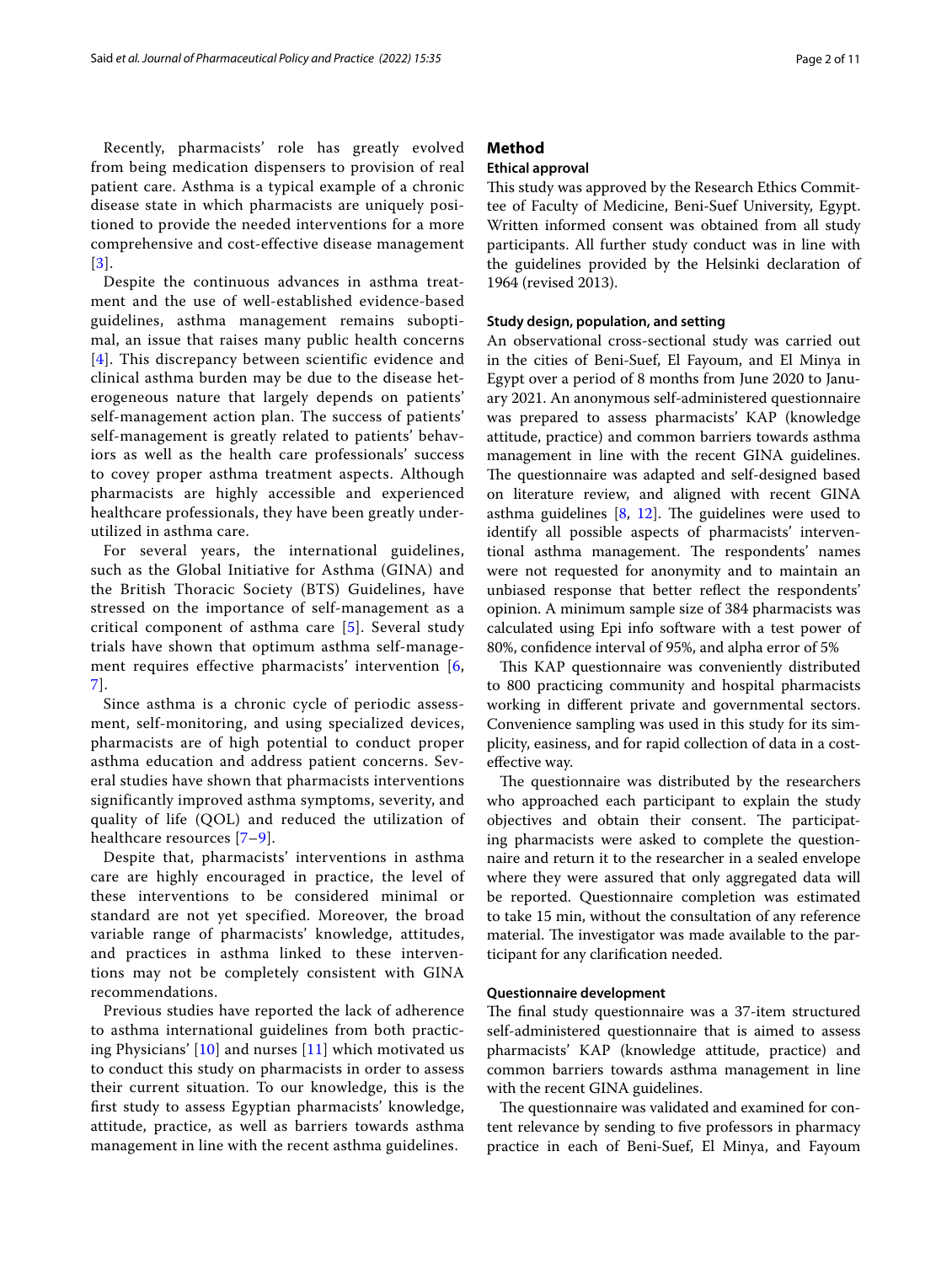Recently, pharmacists' role has greatly evolved from being medication dispensers to provision of real patient care. Asthma is a typical example of a chronic disease state in which pharmacists are uniquely positioned to provide the needed interventions for a more comprehensive and cost-effective disease management [[3](#page-9-2)].

Despite the continuous advances in asthma treatment and the use of well-established evidence-based guidelines, asthma management remains suboptimal, an issue that raises many public health concerns [[4](#page-9-3)]. This discrepancy between scientific evidence and clinical asthma burden may be due to the disease heterogeneous nature that largely depends on patients' self-management action plan. The success of patients' self-management is greatly related to patients' behaviors as well as the health care professionals' success to covey proper asthma treatment aspects. Although pharmacists are highly accessible and experienced healthcare professionals, they have been greatly underutilized in asthma care.

For several years, the international guidelines, such as the Global Initiative for Asthma (GINA) and the British Thoracic Society (BTS) Guidelines, have stressed on the importance of self-management as a critical component of asthma care [\[5](#page-9-4)]. Several study trials have shown that optimum asthma self-management requires effective pharmacists' intervention [\[6](#page-9-5), [7\]](#page-9-6).

Since asthma is a chronic cycle of periodic assessment, self-monitoring, and using specialized devices, pharmacists are of high potential to conduct proper asthma education and address patient concerns. Several studies have shown that pharmacists interventions significantly improved asthma symptoms, severity, and quality of life (QOL) and reduced the utilization of healthcare resources [\[7–](#page-9-6)[9\]](#page-9-7).

Despite that, pharmacists' interventions in asthma care are highly encouraged in practice, the level of these interventions to be considered minimal or standard are not yet specified. Moreover, the broad variable range of pharmacists' knowledge, attitudes, and practices in asthma linked to these interventions may not be completely consistent with GINA recommendations.

Previous studies have reported the lack of adherence to asthma international guidelines from both practicing Physicians'  $[10]$  $[10]$  and nurses  $[11]$  $[11]$  $[11]$  which motivated us to conduct this study on pharmacists in order to assess their current situation. To our knowledge, this is the frst study to assess Egyptian pharmacists' knowledge, attitude, practice, as well as barriers towards asthma management in line with the recent asthma guidelines.

## <span id="page-1-2"></span>**Method**

## <span id="page-1-0"></span>**Ethical approval**

This study was approved by the Research Ethics Committee of Faculty of Medicine, Beni-Suef University, Egypt. Written informed consent was obtained from all study participants. All further study conduct was in line with the guidelines provided by the Helsinki declaration of 1964 (revised 2013).

### <span id="page-1-1"></span>**Study design, population, and setting**

An observational cross-sectional study was carried out in the cities of Beni-Suef, El Fayoum, and El Minya in Egypt over a period of 8 months from June 2020 to January 2021. An anonymous self-administered questionnaire was prepared to assess pharmacists' KAP (knowledge attitude, practice) and common barriers towards asthma management in line with the recent GINA guidelines. The questionnaire was adapted and self-designed based on literature review, and aligned with recent GINA asthma guidelines  $[8, 12]$  $[8, 12]$  $[8, 12]$ . The guidelines were used to identify all possible aspects of pharmacists' interventional asthma management. The respondents' names were not requested for anonymity and to maintain an unbiased response that better refect the respondents' opinion. A minimum sample size of 384 pharmacists was calculated using Epi info software with a test power of 80%, confdence interval of 95%, and alpha error of 5%

This KAP questionnaire was conveniently distributed to 800 practicing community and hospital pharmacists working in diferent private and governmental sectors. Convenience sampling was used in this study for its simplicity, easiness, and for rapid collection of data in a costefective way.

The questionnaire was distributed by the researchers who approached each participant to explain the study objectives and obtain their consent. The participating pharmacists were asked to complete the questionnaire and return it to the researcher in a sealed envelope where they were assured that only aggregated data will be reported. Questionnaire completion was estimated to take 15 min, without the consultation of any reference material. The investigator was made available to the participant for any clarifcation needed.

### **Questionnaire development**

The final study questionnaire was a 37-item structured self-administered questionnaire that is aimed to assess pharmacists' KAP (knowledge attitude, practice) and common barriers towards asthma management in line with the recent GINA guidelines.

The questionnaire was validated and examined for content relevance by sending to fve professors in pharmacy practice in each of Beni-Suef, El Minya, and Fayoum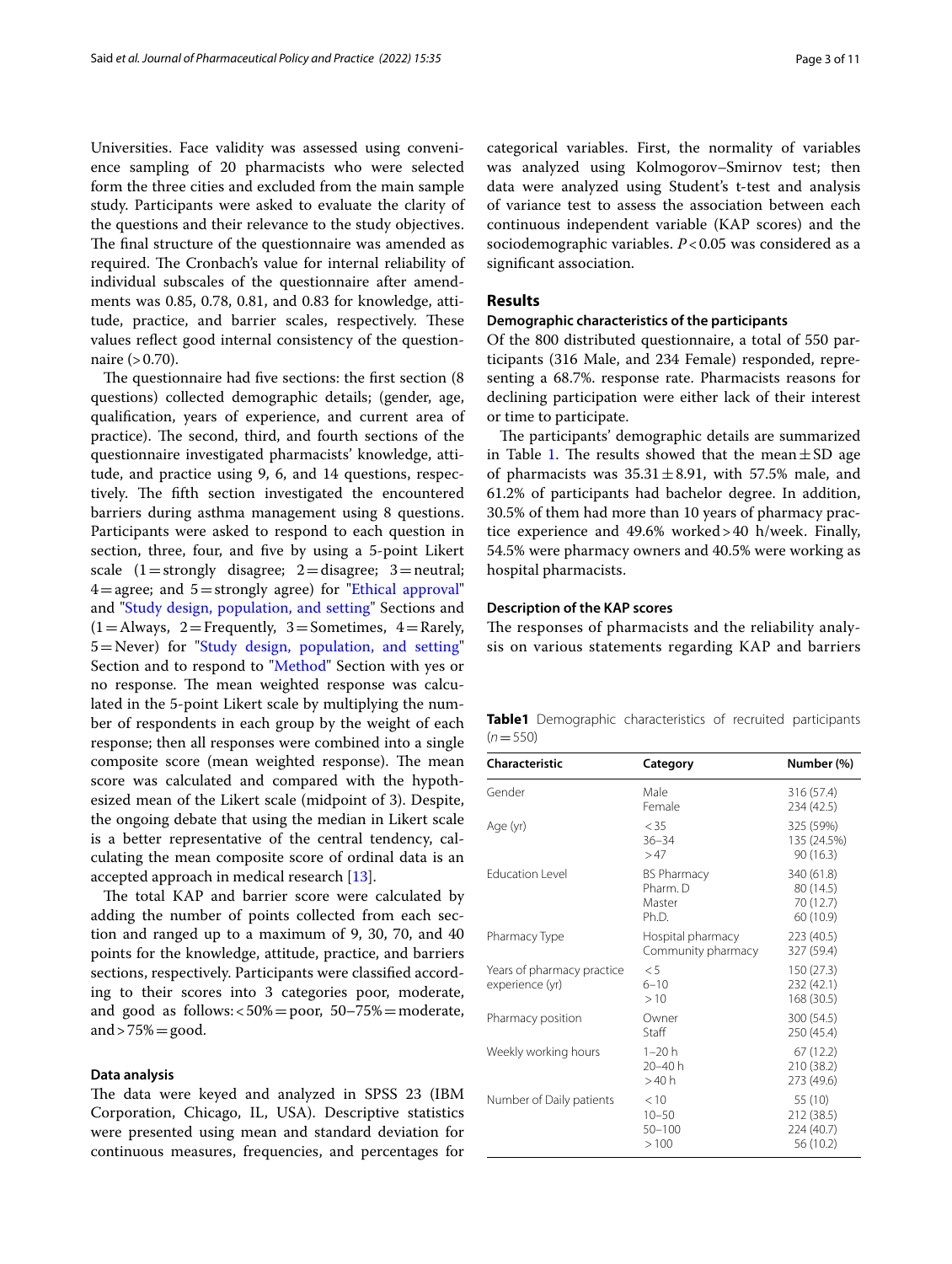Universities. Face validity was assessed using convenience sampling of 20 pharmacists who were selected form the three cities and excluded from the main sample study. Participants were asked to evaluate the clarity of the questions and their relevance to the study objectives. The final structure of the questionnaire was amended as required. The Cronbach's value for internal reliability of individual subscales of the questionnaire after amendments was 0.85, 0.78, 0.81, and 0.83 for knowledge, attitude, practice, and barrier scales, respectively. These values refect good internal consistency of the questionnaire  $(>0.70)$ .

The questionnaire had five sections: the first section (8) questions) collected demographic details; (gender, age, qualifcation, years of experience, and current area of practice). The second, third, and fourth sections of the questionnaire investigated pharmacists' knowledge, attitude, and practice using 9, 6, and 14 questions, respectively. The fifth section investigated the encountered barriers during asthma management using 8 questions. Participants were asked to respond to each question in section, three, four, and fve by using a 5-point Likert scale  $(1=$ strongly disagree;  $2=$ disagree;  $3=$ neutral;  $4=$ agree; and  $5=$ strongly agree) for "[Ethical approval](#page-1-0)" and ["Study design, population, and setting"](#page-1-1) Sections and  $(1 =$  Always, 2 = Frequently, 3 = Sometimes, 4 = Rarely, 5=Never) for ["Study design, population, and setting](#page-1-1)" Section and to respond to "[Method](#page-1-2)" Section with yes or no response. The mean weighted response was calculated in the 5-point Likert scale by multiplying the number of respondents in each group by the weight of each response; then all responses were combined into a single composite score (mean weighted response). The mean score was calculated and compared with the hypothesized mean of the Likert scale (midpoint of 3). Despite, the ongoing debate that using the median in Likert scale is a better representative of the central tendency, calculating the mean composite score of ordinal data is an accepted approach in medical research [\[13](#page-9-12)].

The total KAP and barrier score were calculated by adding the number of points collected from each section and ranged up to a maximum of 9, 30, 70, and 40 points for the knowledge, attitude, practice, and barriers sections, respectively. Participants were classifed according to their scores into 3 categories poor, moderate, and good as follows:  $<50\% = poor$ , 50–75% = moderate, and  $>75\%$  = good.

#### **Data analysis**

The data were keyed and analyzed in SPSS 23 (IBM Corporation, Chicago, IL, USA). Descriptive statistics were presented using mean and standard deviation for continuous measures, frequencies, and percentages for categorical variables. First, the normality of variables was analyzed using Kolmogorov–Smirnov test; then data were analyzed using Student's t-test and analysis of variance test to assess the association between each continuous independent variable (KAP scores) and the sociodemographic variables. *P*<0.05 was considered as a signifcant association.

#### **Results**

## **Demographic characteristics of the participants**

Of the 800 distributed questionnaire, a total of 550 participants (316 Male, and 234 Female) responded, representing a 68.7%. response rate. Pharmacists reasons for declining participation were either lack of their interest or time to participate.

The participants' demographic details are summarized in Table [1.](#page-2-0) The results showed that the mean $\pm$ SD age of pharmacists was  $35.31 \pm 8.91$ , with 57.5% male, and 61.2% of participants had bachelor degree. In addition, 30.5% of them had more than 10 years of pharmacy practice experience and 49.6% worked>40 h/week. Finally, 54.5% were pharmacy owners and 40.5% were working as hospital pharmacists.

## **Description of the KAP scores**

The responses of pharmacists and the reliability analysis on various statements regarding KAP and barriers

<span id="page-2-0"></span>

|           | <b>Table1</b> Demographic characteristics of recruited participants |  |  |
|-----------|---------------------------------------------------------------------|--|--|
| $(n=550)$ |                                                                     |  |  |

| Characteristic                                | Category                                          | Number (%)                                        |
|-----------------------------------------------|---------------------------------------------------|---------------------------------------------------|
| Gender                                        | Male<br>Female                                    | 316 (57.4)<br>234 (42.5)                          |
| Age (yr)                                      | < 35<br>$36 - 34$<br>>47                          | 325 (59%)<br>135 (24.5%)<br>90(16.3)              |
| <b>Education Level</b>                        | <b>BS Pharmacy</b><br>Pharm. D<br>Master<br>Ph.D. | 340 (61.8)<br>80 (14.5)<br>70 (12.7)<br>60 (10.9) |
| Pharmacy Type                                 | Hospital pharmacy<br>Community pharmacy           | 223 (40.5)<br>327 (59.4)                          |
| Years of pharmacy practice<br>experience (yr) | $\leq$ 5<br>$6 - 10$<br>>10                       | 150 (27.3)<br>232 (42.1)<br>168 (30.5)            |
| Pharmacy position                             | Owner<br>Staff                                    | 300 (54.5)<br>250 (45.4)                          |
| Weekly working hours                          | $1 - 20h$<br>20-40 h<br>>40 h                     | 67 (12.2)<br>210 (38.2)<br>273 (49.6)             |
| Number of Daily patients                      | < 10<br>$10 - 50$<br>$50 - 100$<br>>100           | 55 (10)<br>212 (38.5)<br>224 (40.7)<br>56 (10.2)  |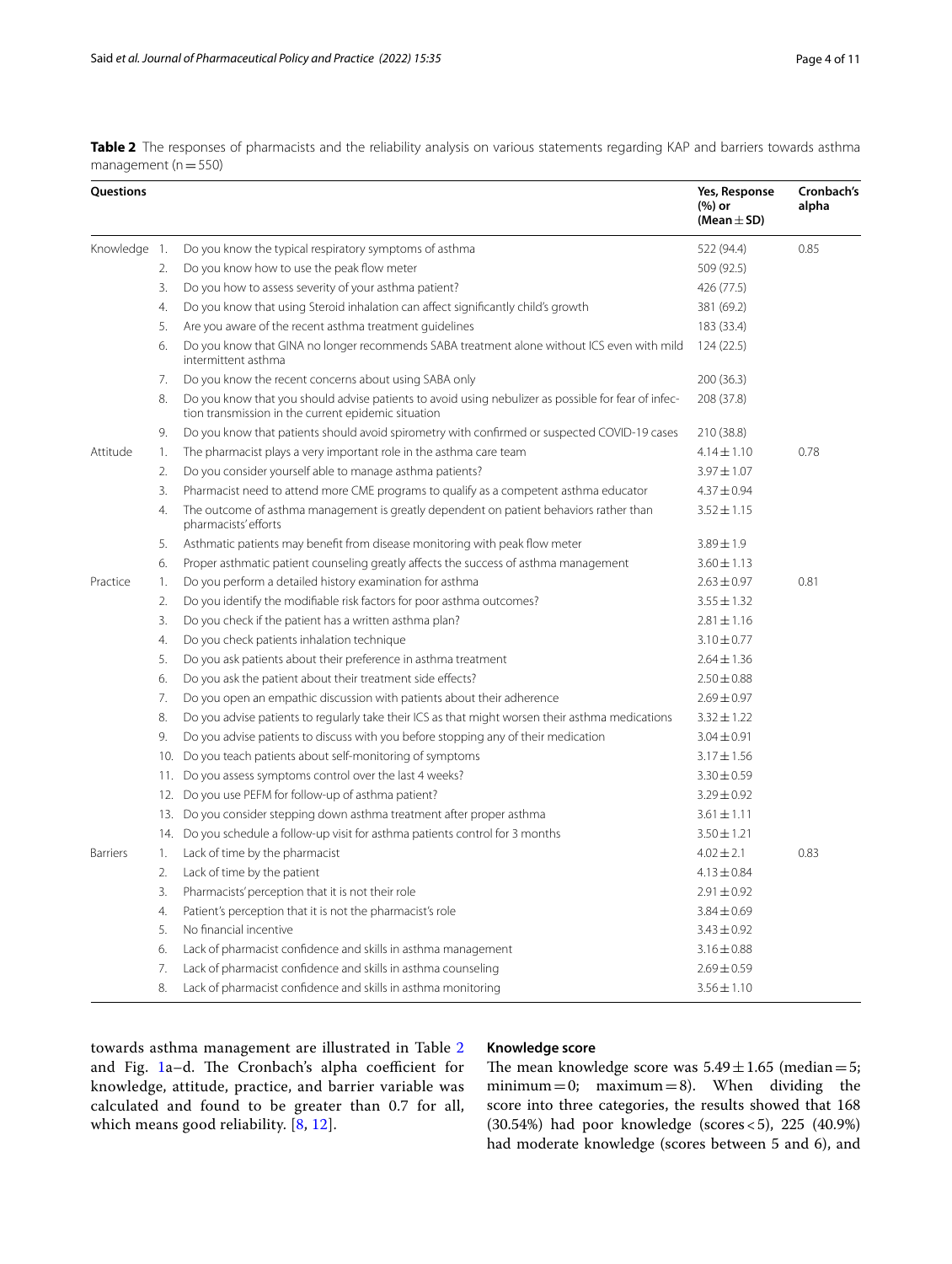<span id="page-3-0"></span>

|                          | Table 2 The responses of pharmacists and the reliability analysis on various statements regarding KAP and barriers towards asthma |  |  |  |  |  |
|--------------------------|-----------------------------------------------------------------------------------------------------------------------------------|--|--|--|--|--|
| management ( $n = 550$ ) |                                                                                                                                   |  |  |  |  |  |

| Questions       |    |                                                                                                                                                            | Yes, Response<br>(%) or<br>(Mean $\pm$ SD) | Cronbach's<br>alpha |
|-----------------|----|------------------------------------------------------------------------------------------------------------------------------------------------------------|--------------------------------------------|---------------------|
| Knowledge 1.    |    | Do you know the typical respiratory symptoms of asthma                                                                                                     | 522 (94.4)                                 | 0.85                |
|                 | 2. | Do you know how to use the peak flow meter                                                                                                                 | 509 (92.5)                                 |                     |
|                 | 3. | Do you how to assess severity of your asthma patient?                                                                                                      | 426 (77.5)                                 |                     |
|                 | 4. | Do you know that using Steroid inhalation can affect significantly child's growth                                                                          | 381 (69.2)                                 |                     |
|                 | 5. | Are you aware of the recent asthma treatment guidelines                                                                                                    | 183 (33.4)                                 |                     |
|                 | 6. | Do you know that GINA no longer recommends SABA treatment alone without ICS even with mild<br>intermittent asthma                                          | 124(22.5)                                  |                     |
|                 | 7. | Do you know the recent concerns about using SABA only                                                                                                      | 200(36.3)                                  |                     |
|                 | 8. | Do you know that you should advise patients to avoid using nebulizer as possible for fear of infec-<br>tion transmission in the current epidemic situation | 208 (37.8)                                 |                     |
|                 | 9. | Do you know that patients should avoid spirometry with confirmed or suspected COVID-19 cases                                                               | 210 (38.8)                                 |                     |
| Attitude        | 1. | The pharmacist plays a very important role in the asthma care team                                                                                         | $4.14 \pm 1.10$                            | 0.78                |
|                 | 2. | Do you consider yourself able to manage asthma patients?                                                                                                   | $3.97 \pm 1.07$                            |                     |
|                 | 3. | Pharmacist need to attend more CME programs to qualify as a competent asthma educator                                                                      | $4.37 \pm 0.94$                            |                     |
|                 | 4. | The outcome of asthma management is greatly dependent on patient behaviors rather than<br>pharmacists' efforts                                             | $3.52 \pm 1.15$                            |                     |
|                 | 5. | Asthmatic patients may benefit from disease monitoring with peak flow meter                                                                                | $3.89 \pm 1.9$                             |                     |
|                 | 6. | Proper asthmatic patient counseling greatly affects the success of asthma management                                                                       | $3.60 \pm 1.13$                            |                     |
| Practice        | 1. | Do you perform a detailed history examination for asthma                                                                                                   | $2.63 \pm 0.97$                            | 0.81                |
|                 | 2. | Do you identify the modifiable risk factors for poor asthma outcomes?                                                                                      | $3.55 \pm 1.32$                            |                     |
|                 | 3. | Do you check if the patient has a written asthma plan?                                                                                                     | $2.81 \pm 1.16$                            |                     |
|                 | 4. | Do you check patients inhalation technique                                                                                                                 | $3.10 \pm 0.77$                            |                     |
|                 | 5. | Do you ask patients about their preference in asthma treatment                                                                                             | $2.64 \pm 1.36$                            |                     |
|                 | 6. | Do you ask the patient about their treatment side effects?                                                                                                 | $2.50 \pm 0.88$                            |                     |
|                 | 7. | Do you open an empathic discussion with patients about their adherence                                                                                     | $2.69 \pm 0.97$                            |                     |
|                 | 8. | Do you advise patients to regularly take their ICS as that might worsen their asthma medications                                                           | $3.32 \pm 1.22$                            |                     |
|                 | 9. | Do you advise patients to discuss with you before stopping any of their medication                                                                         | $3.04 \pm 0.91$                            |                     |
|                 |    | 10. Do you teach patients about self-monitoring of symptoms                                                                                                | $3.17 \pm 1.56$                            |                     |
|                 |    | 11. Do you assess symptoms control over the last 4 weeks?                                                                                                  | $3.30 \pm 0.59$                            |                     |
|                 |    | 12. Do you use PEFM for follow-up of asthma patient?                                                                                                       | $3.29 \pm 0.92$                            |                     |
|                 |    | 13. Do you consider stepping down asthma treatment after proper asthma                                                                                     | $3.61 \pm 1.11$                            |                     |
|                 |    | 14. Do you schedule a follow-up visit for asthma patients control for 3 months                                                                             | $3.50 \pm 1.21$                            |                     |
| <b>Barriers</b> | 1. | Lack of time by the pharmacist                                                                                                                             | $4.02 \pm 2.1$                             | 0.83                |
|                 | 2. | Lack of time by the patient                                                                                                                                | $4.13 \pm 0.84$                            |                     |
|                 | 3. | Pharmacists' perception that it is not their role                                                                                                          | $2.91 \pm 0.92$                            |                     |
|                 | 4. | Patient's perception that it is not the pharmacist's role                                                                                                  | $3.84 \pm 0.69$                            |                     |
|                 | 5. | No financial incentive                                                                                                                                     | $3.43 \pm 0.92$                            |                     |
|                 | 6. | Lack of pharmacist confidence and skills in asthma management                                                                                              | $3.16 \pm 0.88$                            |                     |
|                 | 7. | Lack of pharmacist confidence and skills in asthma counseling                                                                                              | $2.69 \pm 0.59$                            |                     |
|                 | 8. | Lack of pharmacist confidence and skills in asthma monitoring                                                                                              | $3.56 \pm 1.10$                            |                     |

towards asthma management are illustrated in Table [2](#page-3-0) and Fig. [1a](#page-4-0)-d. The Cronbach's alpha coefficient for knowledge, attitude, practice, and barrier variable was calculated and found to be greater than 0.7 for all, which means good reliability. [\[8](#page-9-10), [12](#page-9-11)].

## **Knowledge score**

The mean knowledge score was  $5.49 \pm 1.65$  (median = 5; minimum=0; maximum=8). When dividing the score into three categories, the results showed that 168 (30.54%) had poor knowledge (scores<5), 225 (40.9%) had moderate knowledge (scores between 5 and 6), and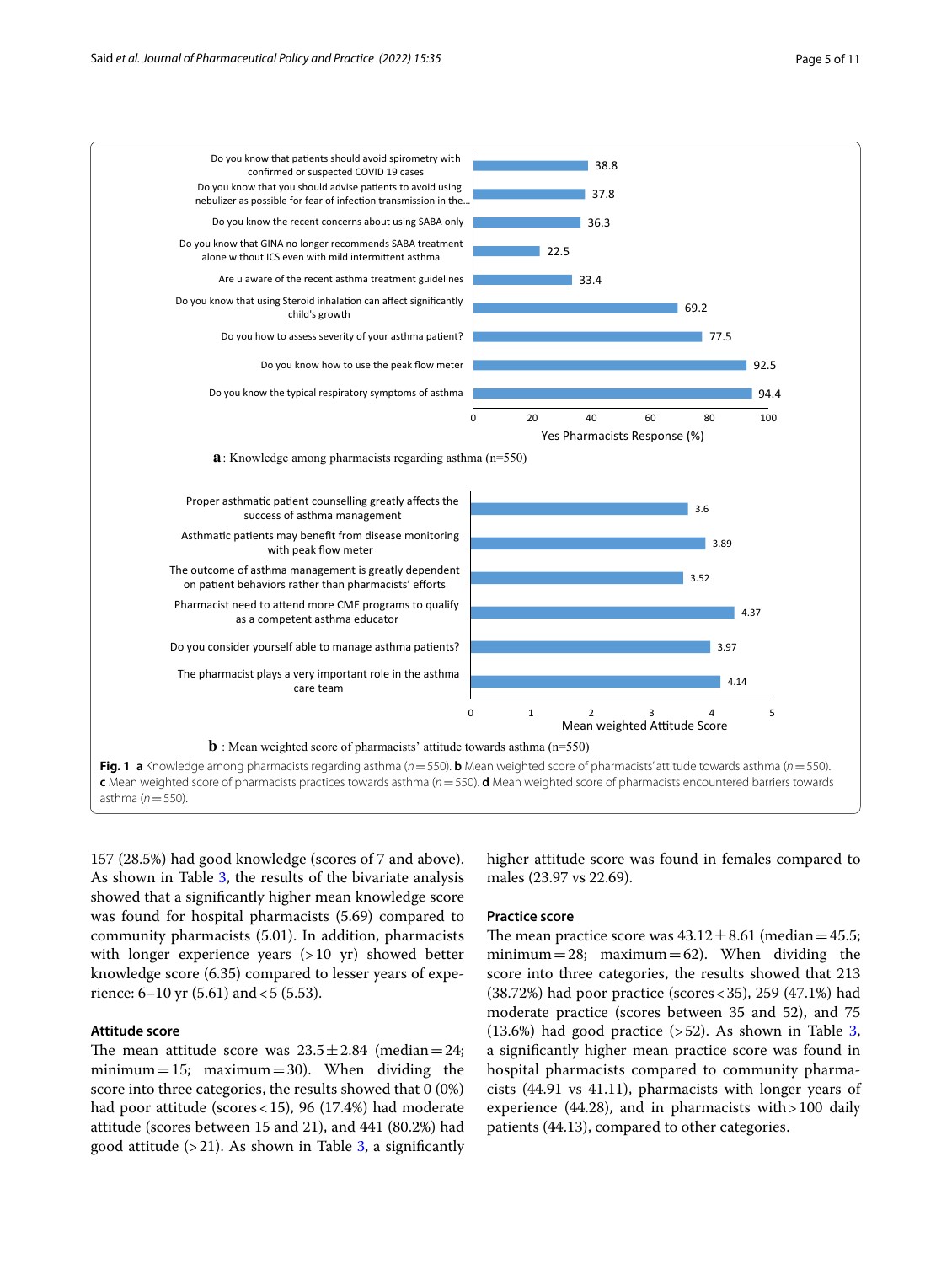

<span id="page-4-0"></span>157 (28.5%) had good knowledge (scores of 7 and above). As shown in Table [3,](#page-6-0) the results of the bivariate analysis showed that a signifcantly higher mean knowledge score was found for hospital pharmacists (5.69) compared to community pharmacists (5.01). In addition, pharmacists with longer experience years (>10 yr) showed better knowledge score (6.35) compared to lesser years of experience:  $6-10$  yr  $(5.61)$  and  $< 5$   $(5.53)$ .

## **Attitude score**

The mean attitude score was  $23.5 \pm 2.84$  (median=24; minimum = 15; maximum = 30). When dividing the score into three categories, the results showed that 0 (0%) had poor attitude (scores<15), 96 (17.4%) had moderate attitude (scores between 15 and 21), and 441 (80.2%) had good attitude  $(>21)$ . As shown in Table [3](#page-6-0), a significantly higher attitude score was found in females compared to males (23.97 vs 22.69).

## **Practice score**

The mean practice score was  $43.12 \pm 8.61$  (median = 45.5; minimum=28; maximum=62). When dividing the score into three categories, the results showed that 213 (38.72%) had poor practice (scores<35), 259 (47.1%) had moderate practice (scores between 35 and 52), and 75  $(13.6\%)$  $(13.6\%)$  $(13.6\%)$  had good practice  $(52)$ . As shown in Table 3, a signifcantly higher mean practice score was found in hospital pharmacists compared to community pharmacists (44.91 vs 41.11), pharmacists with longer years of experience  $(44.28)$ , and in pharmacists with > 100 daily patients (44.13), compared to other categories.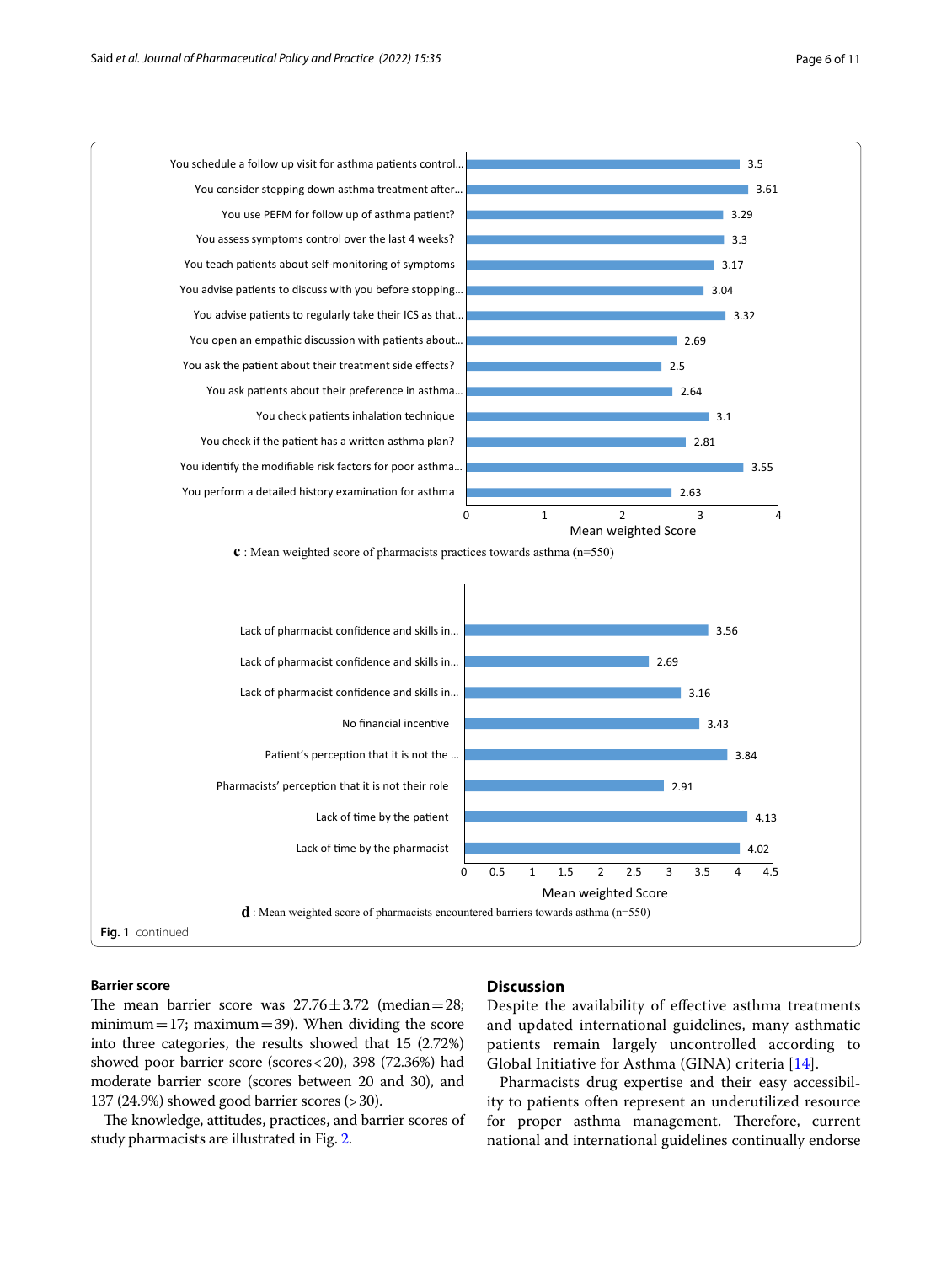

## **Barrier score**

## The mean barrier score was  $27.76 \pm 3.72$  (median=28; minimum=17; maximum=39). When dividing the score into three categories, the results showed that 15 (2.72%) showed poor barrier score (scores<20), 398 (72.36%) had moderate barrier score (scores between 20 and 30), and 137 (24.9%) showed good barrier scores (>30).

The knowledge, attitudes, practices, and barrier scores of study pharmacists are illustrated in Fig. [2](#page-7-0).

## **Discussion**

Despite the availability of efective asthma treatments and updated international guidelines, many asthmatic patients remain largely uncontrolled according to Global Initiative for Asthma (GINA) criteria [[14\]](#page-9-13).

Pharmacists drug expertise and their easy accessibility to patients often represent an underutilized resource for proper asthma management. Therefore, current national and international guidelines continually endorse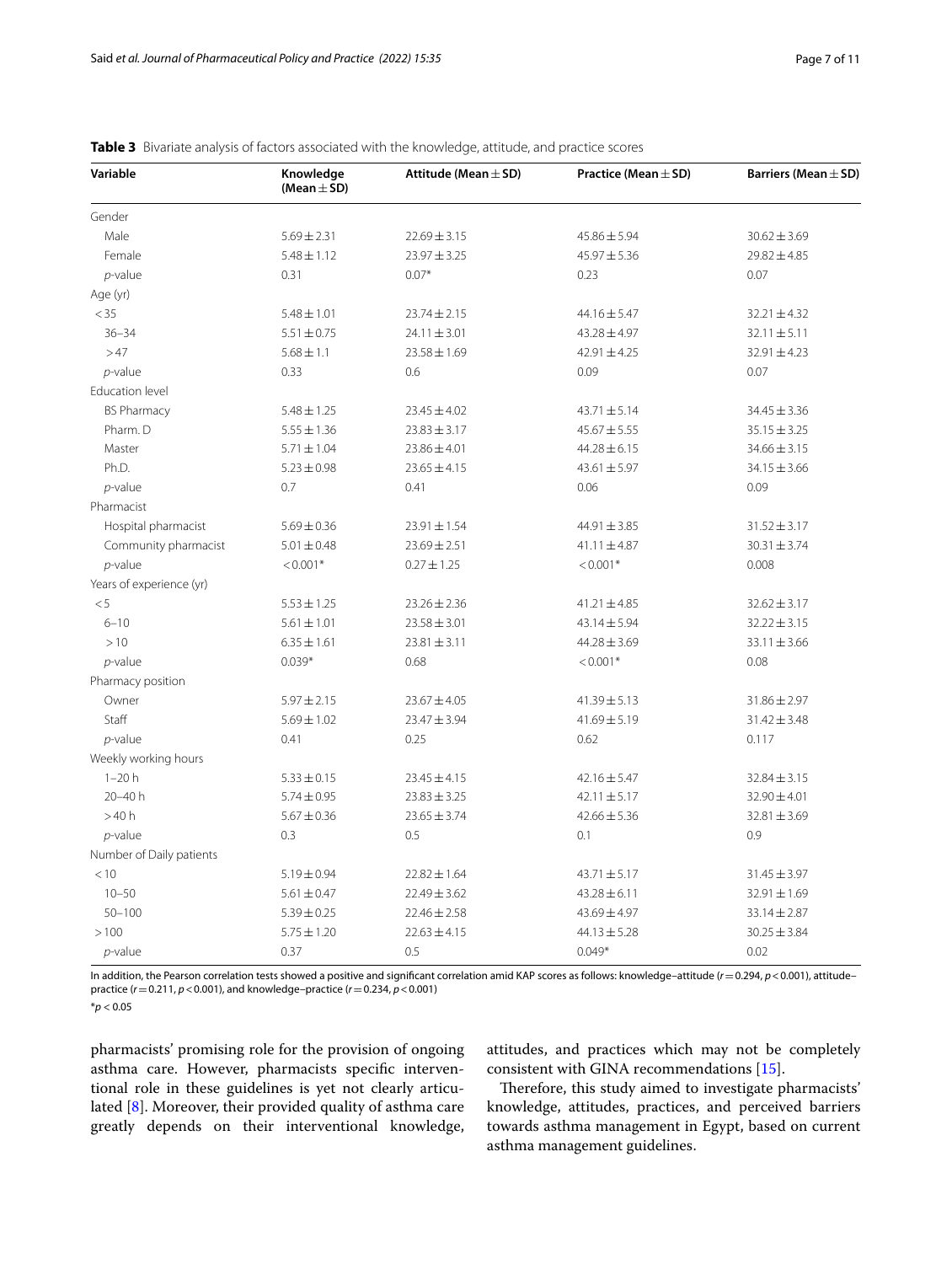| Variable                 | Knowledge<br>(Mean $\pm$ SD) | Attitude (Mean $\pm$ SD) | Practice (Mean $\pm$ SD) | Barriers (Mean $\pm$ SD) |
|--------------------------|------------------------------|--------------------------|--------------------------|--------------------------|
| Gender                   |                              |                          |                          |                          |
| Male                     | $5.69 \pm 2.31$              | $22.69 \pm 3.15$         | $45.86 \pm 5.94$         | $30.62 \pm 3.69$         |
| Female                   | $5.48 \pm 1.12$              | $23.97 \pm 3.25$         | $45.97 \pm 5.36$         | $29.82 \pm 4.85$         |
| $p$ -value               | 0.31                         | $0.07*$                  | 0.23                     | 0.07                     |
| Age (yr)                 |                              |                          |                          |                          |
| $<$ 35                   | $5.48 \pm 1.01$              | $23.74 \pm 2.15$         | 44.16±5.47               | $32.21 \pm 4.32$         |
| $36 - 34$                | $5.51 \pm 0.75$              | $24.11 \pm 3.01$         | $43.28 \pm 4.97$         | $32.11 \pm 5.11$         |
| >47                      | $5.68 \pm 1.1$               | $23.58 \pm 1.69$         | $42.91 \pm 4.25$         | $32.91 \pm 4.23$         |
| $p$ -value               | 0.33                         | 0.6                      | 0.09                     | 0.07                     |
| <b>Education level</b>   |                              |                          |                          |                          |
| <b>BS Pharmacy</b>       | $5.48 \pm 1.25$              | $23.45 \pm 4.02$         | $43.71 \pm 5.14$         | $34.45 \pm 3.36$         |
| Pharm. D                 | $5.55 \pm 1.36$              | $23.83 \pm 3.17$         | $45.67 \pm 5.55$         | $35.15 \pm 3.25$         |
| Master                   | $5.71 \pm 1.04$              | $23.86 \pm 4.01$         | $44.28 \pm 6.15$         | $34.66 \pm 3.15$         |
| Ph.D.                    | $5.23 \pm 0.98$              | $23.65 \pm 4.15$         | $43.61 \pm 5.97$         | $34.15 \pm 3.66$         |
| $p$ -value               | 0.7                          | 0.41                     | 0.06                     | 0.09                     |
| Pharmacist               |                              |                          |                          |                          |
| Hospital pharmacist      | $5.69 \pm 0.36$              | $23.91 \pm 1.54$         | 44.91 ± 3.85             | $31.52 \pm 3.17$         |
| Community pharmacist     | $5.01 \pm 0.48$              | $23.69 \pm 2.51$         | $41.11 \pm 4.87$         | $30.31 \pm 3.74$         |
| $p$ -value               | $< 0.001*$                   | $0.27 \pm 1.25$          | $< 0.001*$               | 0.008                    |
| Years of experience (yr) |                              |                          |                          |                          |
| < 5                      | $5.53 \pm 1.25$              | $23.26 \pm 2.36$         | $41.21 \pm 4.85$         | $32.62 \pm 3.17$         |
| $6 - 10$                 | $5.61 \pm 1.01$              | $23.58 \pm 3.01$         | 43.14±5.94               | $32.22 \pm 3.15$         |
| >10                      | $6.35 \pm 1.61$              | $23.81 \pm 3.11$         | $44.28 \pm 3.69$         | $33.11 \pm 3.66$         |
| $p$ -value               | $0.039*$                     | 0.68                     | $< 0.001*$               | 0.08                     |
| Pharmacy position        |                              |                          |                          |                          |
| Owner                    | $5.97 \pm 2.15$              | $23.67 \pm 4.05$         | $41.39 \pm 5.13$         | $31.86 \pm 2.97$         |
| Staff                    | $5.69 \pm 1.02$              | $23.47 \pm 3.94$         | $41.69 \pm 5.19$         | $31.42 \pm 3.48$         |
| $p$ -value               | 0.41                         | 0.25                     | 0.62                     | 0.117                    |
| Weekly working hours     |                              |                          |                          |                          |
| $1 - 20h$                | $5.33 \pm 0.15$              | $23.45 \pm 4.15$         | $42.16 \pm 5.47$         | $32.84 \pm 3.15$         |
| $20 - 40 h$              | $5.74 \pm 0.95$              | $23.83 \pm 3.25$         | $42.11 \pm 5.17$         | $32.90 \pm 4.01$         |
| >40h                     | $5.67 \pm 0.36$              | $23.65 \pm 3.74$         | $42.66 \pm 5.36$         | $32.81 \pm 3.69$         |
| $p$ -value               | 0.3                          | 0.5                      | 0.1                      | 0.9                      |
| Number of Daily patients |                              |                          |                          |                          |
| < 10                     | $5.19 \pm 0.94$              | $22.82 \pm 1.64$         | $43.71 \pm 5.17$         | $31.45 \pm 3.97$         |
| $10 - 50$                | $5.61 \pm 0.47$              | $22.49 \pm 3.62$         | $43.28 \pm 6.11$         | $32.91 \pm 1.69$         |
| $50 - 100$               | $5.39 \pm 0.25$              | $22.46 \pm 2.58$         | 43.69±4.97               | $33.14 \pm 2.87$         |
| >100                     | $5.75 \pm 1.20$              | $22.63 \pm 4.15$         | $44.13 \pm 5.28$         | $30.25 \pm 3.84$         |
| $p$ -value               | 0.37                         | 0.5                      | $0.049*$                 | 0.02                     |

<span id="page-6-0"></span>

|  | Table 3 Bivariate analysis of factors associated with the knowledge, attitude, and practice scores |  |  |  |  |  |  |  |  |  |
|--|----------------------------------------------------------------------------------------------------|--|--|--|--|--|--|--|--|--|
|--|----------------------------------------------------------------------------------------------------|--|--|--|--|--|--|--|--|--|

In addition, the Pearson correlation tests showed a positive and signifcant correlation amid KAP scores as follows: knowledge–attitude (*r*=0.294, *p*<0.001), attitude– practice (*r*=0.211, *p*<0.001), and knowledge–practice (*r*=0.234, *p*<0.001)

\**p* < 0.05

pharmacists' promising role for the provision of ongoing asthma care. However, pharmacists specifc interventional role in these guidelines is yet not clearly articulated [\[8](#page-9-10)]. Moreover, their provided quality of asthma care greatly depends on their interventional knowledge, attitudes, and practices which may not be completely consistent with GINA recommendations [\[15\]](#page-10-0).

Therefore, this study aimed to investigate pharmacists' knowledge, attitudes, practices, and perceived barriers towards asthma management in Egypt, based on current asthma management guidelines.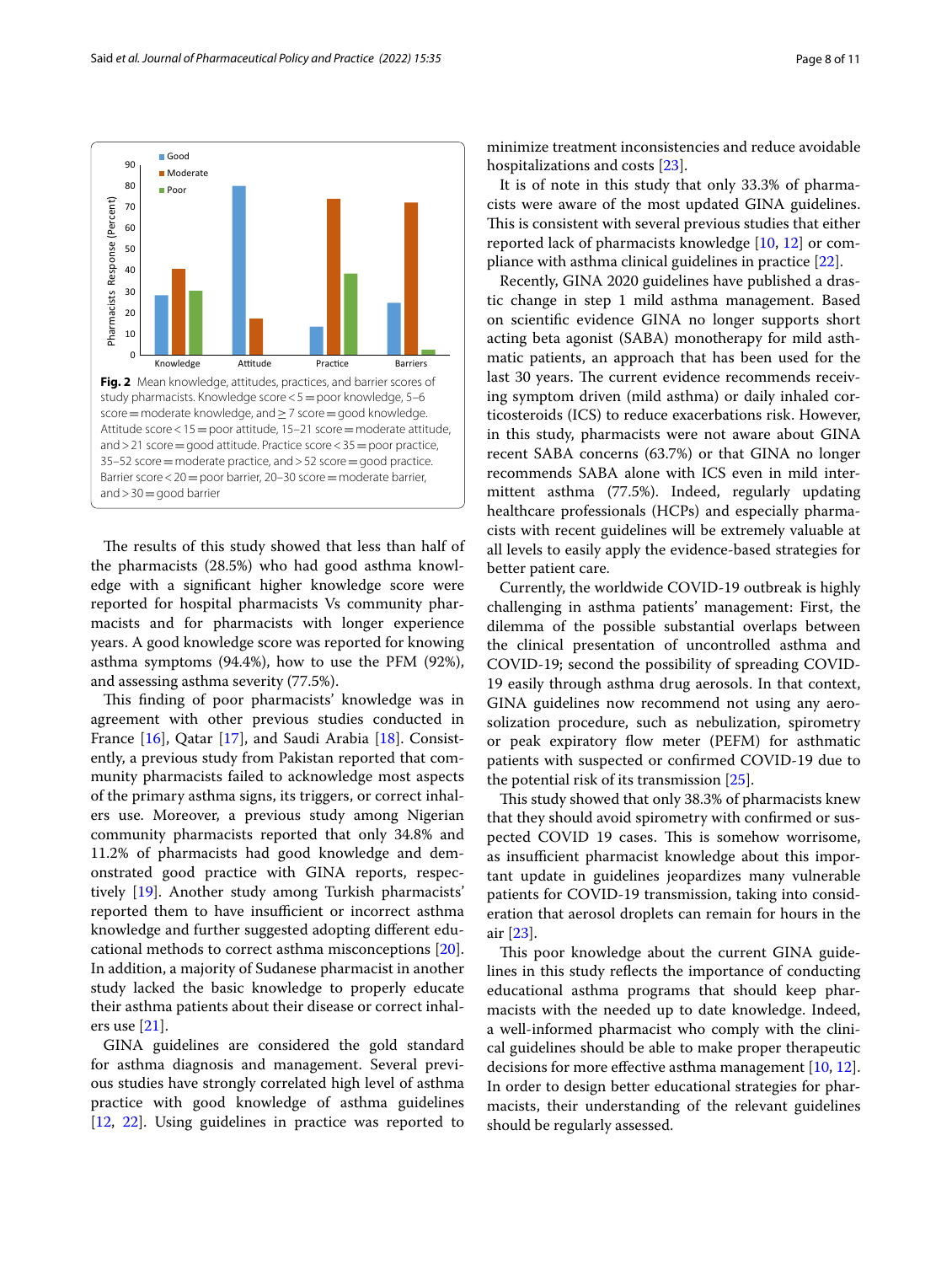

<span id="page-7-0"></span>The results of this study showed that less than half of the pharmacists (28.5%) who had good asthma knowledge with a signifcant higher knowledge score were reported for hospital pharmacists Vs community pharmacists and for pharmacists with longer experience years. A good knowledge score was reported for knowing asthma symptoms (94.4%), how to use the PFM (92%), and assessing asthma severity (77.5%).

This finding of poor pharmacists' knowledge was in agreement with other previous studies conducted in France [[16\]](#page-10-1), Qatar [[17\]](#page-10-2), and Saudi Arabia [[18](#page-10-3)]. Consistently, a previous study from Pakistan reported that community pharmacists failed to acknowledge most aspects of the primary asthma signs, its triggers, or correct inhalers use. Moreover, a previous study among Nigerian community pharmacists reported that only 34.8% and 11.2% of pharmacists had good knowledge and demonstrated good practice with GINA reports, respectively [\[19\]](#page-10-4). Another study among Turkish pharmacists' reported them to have insufficient or incorrect asthma knowledge and further suggested adopting diferent educational methods to correct asthma misconceptions [\[20](#page-10-5)]. In addition, a majority of Sudanese pharmacist in another study lacked the basic knowledge to properly educate their asthma patients about their disease or correct inhalers use [\[21](#page-10-6)].

GINA guidelines are considered the gold standard for asthma diagnosis and management. Several previous studies have strongly correlated high level of asthma practice with good knowledge of asthma guidelines [[12,](#page-9-11) [22\]](#page-10-7). Using guidelines in practice was reported to minimize treatment inconsistencies and reduce avoidable hospitalizations and costs [\[23\]](#page-10-8).

It is of note in this study that only 33.3% of pharmacists were aware of the most updated GINA guidelines. This is consistent with several previous studies that either reported lack of pharmacists knowledge [\[10](#page-9-8), [12\]](#page-9-11) or compliance with asthma clinical guidelines in practice [[22](#page-10-7)].

Recently, GINA 2020 guidelines have published a drastic change in step 1 mild asthma management. Based on scientifc evidence GINA no longer supports short acting beta agonist (SABA) monotherapy for mild asthmatic patients, an approach that has been used for the last 30 years. The current evidence recommends receiving symptom driven (mild asthma) or daily inhaled corticosteroids (ICS) to reduce exacerbations risk. However, in this study, pharmacists were not aware about GINA recent SABA concerns (63.7%) or that GINA no longer recommends SABA alone with ICS even in mild intermittent asthma (77.5%). Indeed, regularly updating healthcare professionals (HCPs) and especially pharmacists with recent guidelines will be extremely valuable at all levels to easily apply the evidence-based strategies for better patient care.

Currently, the worldwide COVID-19 outbreak is highly challenging in asthma patients' management: First, the dilemma of the possible substantial overlaps between the clinical presentation of uncontrolled asthma and COVID-19; second the possibility of spreading COVID-19 easily through asthma drug aerosols. In that context, GINA guidelines now recommend not using any aerosolization procedure, such as nebulization, spirometry or peak expiratory flow meter (PEFM) for asthmatic patients with suspected or confrmed COVID-19 due to the potential risk of its transmission [[25\]](#page-10-9).

This study showed that only 38.3% of pharmacists knew that they should avoid spirometry with confrmed or suspected COVID 19 cases. This is somehow worrisome, as insufficient pharmacist knowledge about this important update in guidelines jeopardizes many vulnerable patients for COVID-19 transmission, taking into consideration that aerosol droplets can remain for hours in the air [\[23\]](#page-10-8).

This poor knowledge about the current GINA guidelines in this study refects the importance of conducting educational asthma programs that should keep pharmacists with the needed up to date knowledge. Indeed, a well-informed pharmacist who comply with the clinical guidelines should be able to make proper therapeutic decisions for more efective asthma management [\[10,](#page-9-8) [12](#page-9-11)]. In order to design better educational strategies for pharmacists, their understanding of the relevant guidelines should be regularly assessed.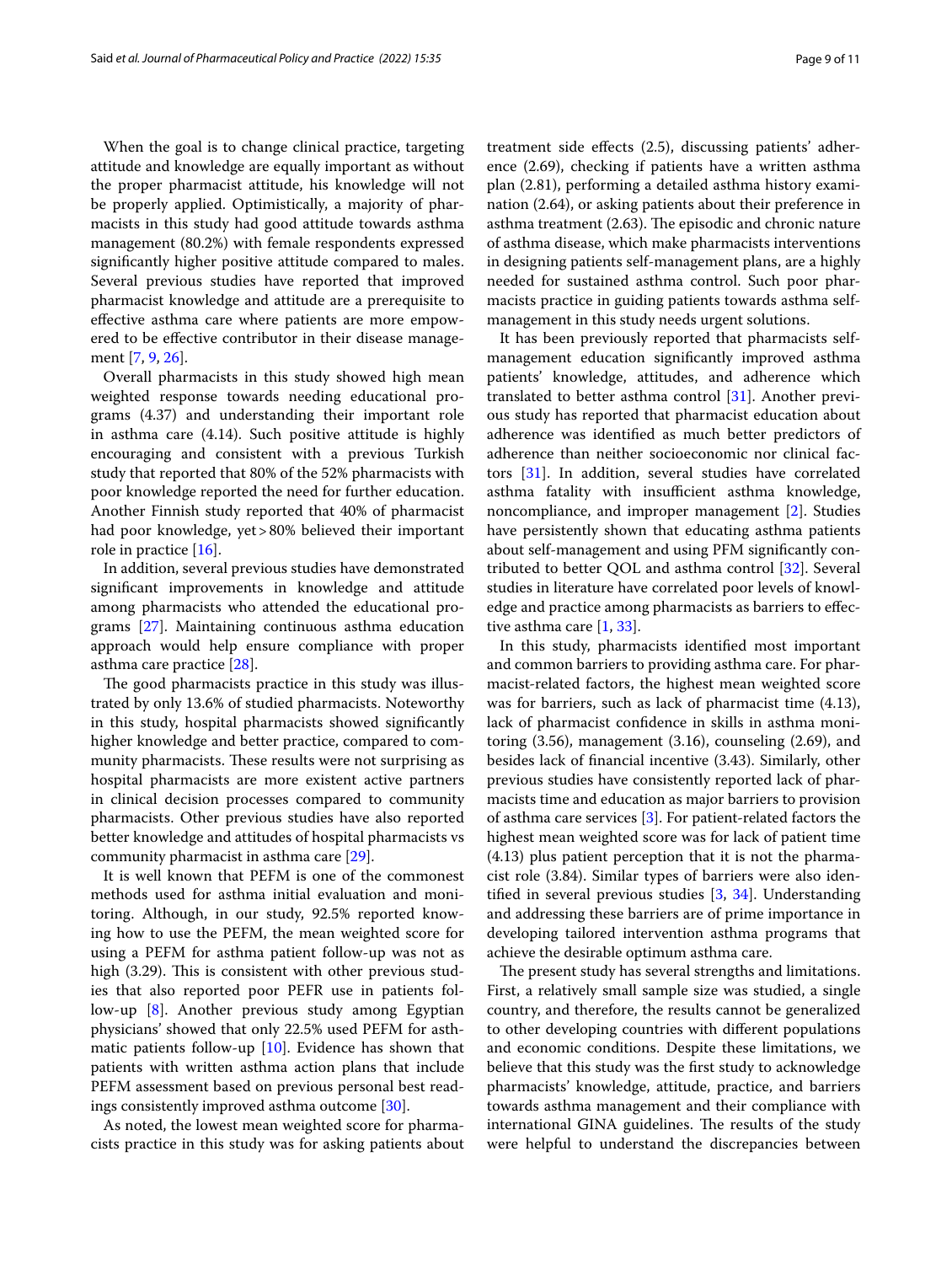When the goal is to change clinical practice, targeting attitude and knowledge are equally important as without the proper pharmacist attitude, his knowledge will not be properly applied. Optimistically, a majority of pharmacists in this study had good attitude towards asthma management (80.2%) with female respondents expressed signifcantly higher positive attitude compared to males. Several previous studies have reported that improved pharmacist knowledge and attitude are a prerequisite to efective asthma care where patients are more empowered to be efective contributor in their disease management [\[7](#page-9-6), [9,](#page-9-7) [26](#page-10-10)].

Overall pharmacists in this study showed high mean weighted response towards needing educational programs (4.37) and understanding their important role in asthma care (4.14). Such positive attitude is highly encouraging and consistent with a previous Turkish study that reported that 80% of the 52% pharmacists with poor knowledge reported the need for further education. Another Finnish study reported that 40% of pharmacist had poor knowledge, yet>80% believed their important role in practice [\[16](#page-10-1)].

In addition, several previous studies have demonstrated signifcant improvements in knowledge and attitude among pharmacists who attended the educational programs [[27\]](#page-10-11). Maintaining continuous asthma education approach would help ensure compliance with proper asthma care practice [\[28](#page-10-12)].

The good pharmacists practice in this study was illustrated by only 13.6% of studied pharmacists. Noteworthy in this study, hospital pharmacists showed signifcantly higher knowledge and better practice, compared to community pharmacists. These results were not surprising as hospital pharmacists are more existent active partners in clinical decision processes compared to community pharmacists. Other previous studies have also reported better knowledge and attitudes of hospital pharmacists vs community pharmacist in asthma care [\[29](#page-10-13)].

It is well known that PEFM is one of the commonest methods used for asthma initial evaluation and monitoring. Although, in our study, 92.5% reported knowing how to use the PEFM, the mean weighted score for using a PEFM for asthma patient follow-up was not as high  $(3.29)$ . This is consistent with other previous studies that also reported poor PEFR use in patients follow-up [[8\]](#page-9-10). Another previous study among Egyptian physicians' showed that only 22.5% used PEFM for asthmatic patients follow-up [[10](#page-9-8)]. Evidence has shown that patients with written asthma action plans that include PEFM assessment based on previous personal best readings consistently improved asthma outcome [\[30](#page-10-14)].

As noted, the lowest mean weighted score for pharmacists practice in this study was for asking patients about treatment side efects (2.5), discussing patients' adherence (2.69), checking if patients have a written asthma plan (2.81), performing a detailed asthma history examination (2.64), or asking patients about their preference in asthma treatment (2.63). The episodic and chronic nature of asthma disease, which make pharmacists interventions in designing patients self-management plans, are a highly needed for sustained asthma control. Such poor pharmacists practice in guiding patients towards asthma selfmanagement in this study needs urgent solutions.

It has been previously reported that pharmacists selfmanagement education signifcantly improved asthma patients' knowledge, attitudes, and adherence which translated to better asthma control [[31](#page-10-15)]. Another previous study has reported that pharmacist education about adherence was identifed as much better predictors of adherence than neither socioeconomic nor clinical factors [\[31\]](#page-10-15). In addition, several studies have correlated asthma fatality with insufficient asthma knowledge, noncompliance, and improper management [[2\]](#page-9-1). Studies have persistently shown that educating asthma patients about self-management and using PFM signifcantly contributed to better QOL and asthma control [[32\]](#page-10-16). Several studies in literature have correlated poor levels of knowledge and practice among pharmacists as barriers to efective asthma care [\[1](#page-9-0), [33\]](#page-10-17).

In this study, pharmacists identifed most important and common barriers to providing asthma care. For pharmacist-related factors, the highest mean weighted score was for barriers, such as lack of pharmacist time (4.13), lack of pharmacist confdence in skills in asthma monitoring (3.56), management (3.16), counseling (2.69), and besides lack of fnancial incentive (3.43). Similarly, other previous studies have consistently reported lack of pharmacists time and education as major barriers to provision of asthma care services [\[3](#page-9-2)]. For patient-related factors the highest mean weighted score was for lack of patient time (4.13) plus patient perception that it is not the pharmacist role (3.84). Similar types of barriers were also identifed in several previous studies [[3,](#page-9-2) [34](#page-10-18)]. Understanding and addressing these barriers are of prime importance in developing tailored intervention asthma programs that achieve the desirable optimum asthma care.

The present study has several strengths and limitations. First, a relatively small sample size was studied, a single country, and therefore, the results cannot be generalized to other developing countries with diferent populations and economic conditions. Despite these limitations, we believe that this study was the frst study to acknowledge pharmacists' knowledge, attitude, practice, and barriers towards asthma management and their compliance with international GINA guidelines. The results of the study were helpful to understand the discrepancies between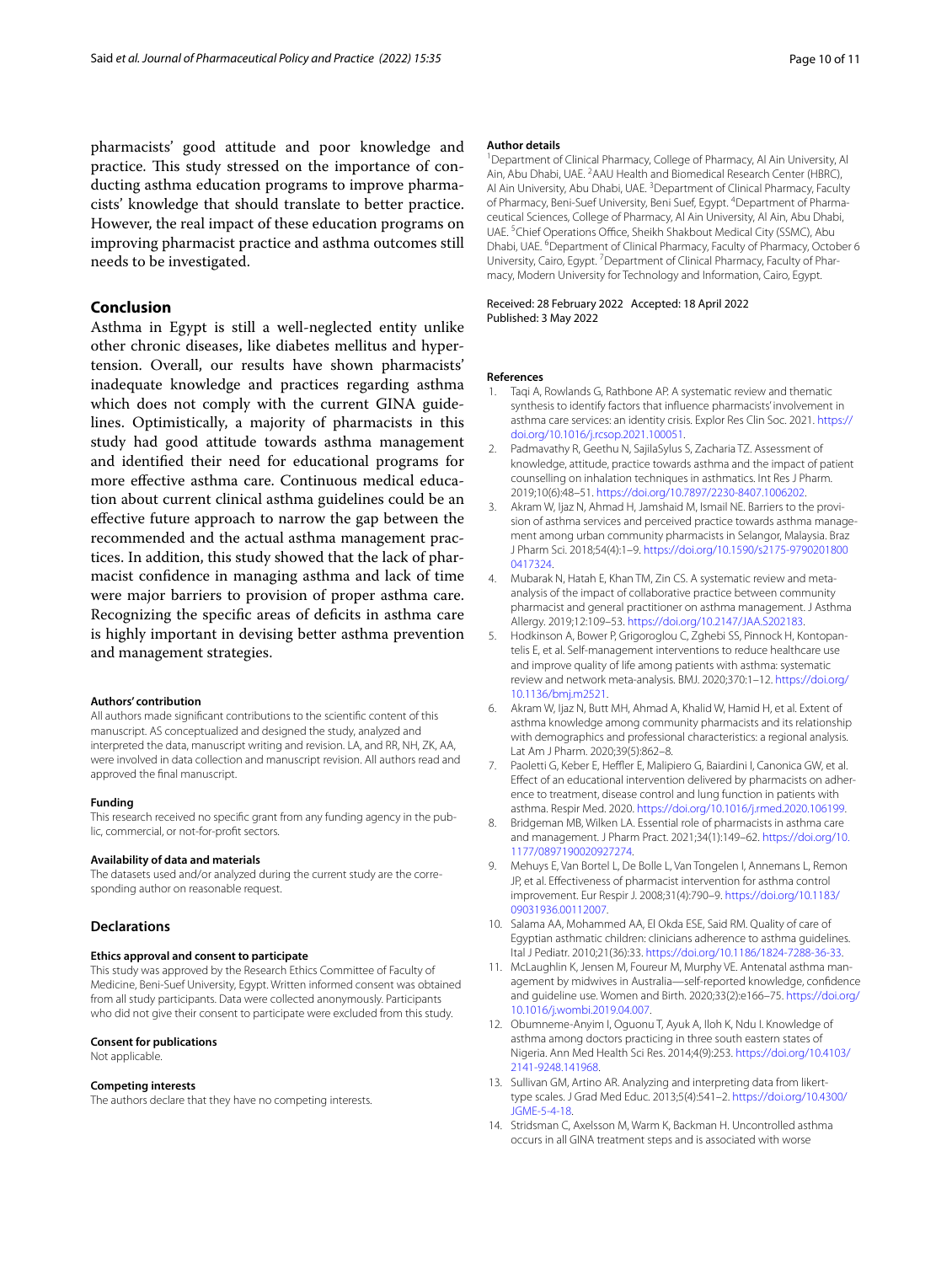pharmacists' good attitude and poor knowledge and practice. This study stressed on the importance of conducting asthma education programs to improve pharmacists' knowledge that should translate to better practice. However, the real impact of these education programs on improving pharmacist practice and asthma outcomes still needs to be investigated.

## **Conclusion**

Asthma in Egypt is still a well-neglected entity unlike other chronic diseases, like diabetes mellitus and hypertension. Overall, our results have shown pharmacists' inadequate knowledge and practices regarding asthma which does not comply with the current GINA guidelines. Optimistically, a majority of pharmacists in this study had good attitude towards asthma management and identifed their need for educational programs for more efective asthma care. Continuous medical education about current clinical asthma guidelines could be an efective future approach to narrow the gap between the recommended and the actual asthma management practices. In addition, this study showed that the lack of pharmacist confdence in managing asthma and lack of time were major barriers to provision of proper asthma care. Recognizing the specifc areas of defcits in asthma care is highly important in devising better asthma prevention and management strategies.

#### **Authors' contribution**

All authors made signifcant contributions to the scientifc content of this manuscript. AS conceptualized and designed the study, analyzed and interpreted the data, manuscript writing and revision. LA, and RR, NH, ZK, AA, were involved in data collection and manuscript revision. All authors read and approved the fnal manuscript.

#### **Funding**

This research received no specifc grant from any funding agency in the public, commercial, or not-for-proft sectors.

#### **Availability of data and materials**

The datasets used and/or analyzed during the current study are the corresponding author on reasonable request.

#### **Declarations**

#### **Ethics approval and consent to participate**

This study was approved by the Research Ethics Committee of Faculty of Medicine, Beni-Suef University, Egypt. Written informed consent was obtained from all study participants. Data were collected anonymously. Participants who did not give their consent to participate were excluded from this study.

#### **Consent for publications**

Not applicable.

#### **Competing interests**

The authors declare that they have no competing interests.

#### **Author details**

<sup>1</sup> Department of Clinical Pharmacy, College of Pharmacy, Al Ain University, Al Ain, Abu Dhabi, UAE. <sup>2</sup> AAU Health and Biomedical Research Center (HBRC), Al Ain University, Abu Dhabi, UAE.<sup>3</sup> Department of Clinical Pharmacy, Faculty of Pharmacy, Beni-Suef University, Beni Suef, Egypt. <sup>4</sup>Department of Pharmaceutical Sciences, College of Pharmacy, Al Ain University, Al Ain, Abu Dhabi, UAE.<sup>5</sup> Chief Operations Office, Sheikh Shakbout Medical City (SSMC), Abu Dhabi, UAE. <sup>6</sup> Department of Clinical Pharmacy, Faculty of Pharmacy, October 6 University, Cairo, Egypt.<sup>7</sup> Department of Clinical Pharmacy, Faculty of Pharmacy, Modern University for Technology and Information, Cairo, Egypt.

#### Received: 28 February 2022 Accepted: 18 April 2022 Published: 3 May 2022

#### **References**

- <span id="page-9-0"></span>1. Taqi A, Rowlands G, Rathbone AP. A systematic review and thematic synthesis to identify factors that infuence pharmacists' involvement in asthma care services: an identity crisis. Explor Res Clin Soc. 2021. [https://](https://doi.org/10.1016/j.rcsop.2021.100051) [doi.org/10.1016/j.rcsop.2021.100051.](https://doi.org/10.1016/j.rcsop.2021.100051)
- <span id="page-9-1"></span>2. Padmavathy R, Geethu N, SajilaSylus S, Zacharia TZ. Assessment of knowledge, attitude, practice towards asthma and the impact of patient counselling on inhalation techniques in asthmatics. Int Res J Pharm. 2019;10(6):48–51. [https://doi.org/10.7897/2230-8407.1006202.](https://doi.org/10.7897/2230-8407.1006202)
- <span id="page-9-2"></span>3. Akram W, Ijaz N, Ahmad H, Jamshaid M, Ismail NF, Barriers to the provision of asthma services and perceived practice towards asthma management among urban community pharmacists in Selangor, Malaysia. Braz J Pharm Sci. 2018;54(4):1–9. [https://doi.org/10.1590/s2175-9790201800](https://doi.org/10.1590/s2175-97902018000417324) [0417324](https://doi.org/10.1590/s2175-97902018000417324).
- <span id="page-9-3"></span>4. Mubarak N, Hatah E, Khan TM, Zin CS. A systematic review and metaanalysis of the impact of collaborative practice between community pharmacist and general practitioner on asthma management. J Asthma Allergy. 2019;12:109–53. [https://doi.org/10.2147/JAA.S202183.](https://doi.org/10.2147/JAA.S202183)
- <span id="page-9-4"></span>5. Hodkinson A, Bower P, Grigoroglou C, Zghebi SS, Pinnock H, Kontopantelis E, et al. Self-management interventions to reduce healthcare use and improve quality of life among patients with asthma: systematic review and network meta-analysis. BMJ. 2020;370:1–12. [https://doi.org/](https://doi.org/10.1136/bmj.m2521) [10.1136/bmj.m2521.](https://doi.org/10.1136/bmj.m2521)
- <span id="page-9-5"></span>6. Akram W, Ijaz N, Butt MH, Ahmad A, Khalid W, Hamid H, et al. Extent of asthma knowledge among community pharmacists and its relationship with demographics and professional characteristics: a regional analysis. Lat Am J Pharm. 2020;39(5):862–8.
- <span id="page-9-6"></span>7. Paoletti G, Keber E, Heffler E, Malipiero G, Baiardini I, Canonica GW, et al. Efect of an educational intervention delivered by pharmacists on adherence to treatment, disease control and lung function in patients with asthma. Respir Med. 2020. [https://doi.org/10.1016/j.rmed.2020.106199.](https://doi.org/10.1016/j.rmed.2020.106199)
- <span id="page-9-10"></span>8. Bridgeman MB, Wilken LA. Essential role of pharmacists in asthma care and management. J Pharm Pract. 2021;34(1):149–62. [https://doi.org/10.](https://doi.org/10.1177/0897190020927274) [1177/0897190020927274.](https://doi.org/10.1177/0897190020927274)
- <span id="page-9-7"></span>9. Mehuys E, Van Bortel L, De Bolle L, Van Tongelen I, Annemans L, Remon JP, et al. Efectiveness of pharmacist intervention for asthma control improvement. Eur Respir J. 2008;31(4):790–9. [https://doi.org/10.1183/](https://doi.org/10.1183/09031936.00112007) [09031936.00112007.](https://doi.org/10.1183/09031936.00112007)
- <span id="page-9-8"></span>10. Salama AA, Mohammed AA, El Okda ESE, Said RM. Quality of care of Egyptian asthmatic children: clinicians adherence to asthma guidelines. Ital J Pediatr. 2010;21(36):33. [https://doi.org/10.1186/1824-7288-36-33.](https://doi.org/10.1186/1824-7288-36-33)
- <span id="page-9-9"></span>11. McLaughlin K, Jensen M, Foureur M, Murphy VE. Antenatal asthma management by midwives in Australia—self-reported knowledge, confdence and guideline use. Women and Birth. 2020;33(2):e166–75. [https://doi.org/](https://doi.org/10.1016/j.wombi.2019.04.007) [10.1016/j.wombi.2019.04.007.](https://doi.org/10.1016/j.wombi.2019.04.007)
- <span id="page-9-11"></span>12. Obumneme-Anyim I, Oguonu T, Ayuk A, Iloh K, Ndu I. Knowledge of asthma among doctors practicing in three south eastern states of Nigeria. Ann Med Health Sci Res. 2014;4(9):253. [https://doi.org/10.4103/](https://doi.org/10.4103/2141-9248.141968) [2141-9248.141968.](https://doi.org/10.4103/2141-9248.141968)
- <span id="page-9-12"></span>13. Sullivan GM, Artino AR. Analyzing and interpreting data from likerttype scales. J Grad Med Educ. 2013;5(4):541–2. [https://doi.org/10.4300/](https://doi.org/10.4300/JGME-5-4-18) [JGME-5-4-18.](https://doi.org/10.4300/JGME-5-4-18)
- <span id="page-9-13"></span>14. Stridsman C, Axelsson M, Warm K, Backman H. Uncontrolled asthma occurs in all GINA treatment steps and is associated with worse